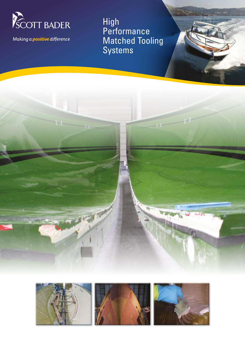

Making a *positive* difference

High **Performance** Matched Tooling Systems

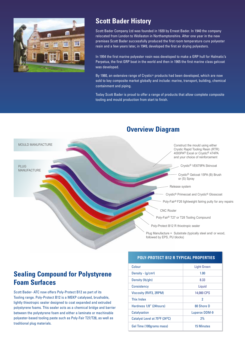

# **Scott Bader History**

Scott Bader Company Ltd was founded in 1920 by Ernest Bader. In 1940 the company relocated from London to Wollaston in Northamptonshire. After one year in the new premises Scott Bader successfully produced the first room temperature cure polyester resin and a few years later, in 1949, developed the first air drying polyesters.

In 1954 the first marine polyester resin was developed to make a GRP hull for Halmatic's Perpetua, the first GRP boat in the world and then in 1965 the first marine class gelcoat was developed.

By 1980, an extensive range of Crystic® products had been developed, which are now sold to key composite market globally and include: marine, transport, building, chemical containment and piping.

Today Scott Bader is proud to offer a range of products that allow complete composite tooling and mould production from start to finish.



# **Overview Diagram**

# **Sealing Compound for Polystyrene Foam Surfaces**

Scott Bader- ATC now offers Poly-Protect B12 as part of its Tooling range. Poly-Protect B12 is a MEKP catalysed, brushable, lightly thixotropic sealer designed to coat expanded and extruded polystyrene foams. This sealer acts as a chemical bridge and barrier between the polystyrene foam and either a laminate or machinable polyester-based tooling paste such as Poly-Fair T27/T28, as well as traditional plug materials.

## **POLY-PROTECT B12 R TYPICAL PROPERTIES**

| Colour                                                  | <b>Light Green</b> |  |  |
|---------------------------------------------------------|--------------------|--|--|
| Density - $(q/cm3)$                                     | 1.00               |  |  |
| Density (lb/gln)                                        | 8.33               |  |  |
| Consistency                                             | Liquid             |  |  |
| Viscosity (RVF3, 2RPM)                                  | 14,000 CPS         |  |  |
| <b>Thix Index</b>                                       | 2                  |  |  |
| Hardness 1/8" (24hours)                                 | 80 Shore D         |  |  |
| <b>Catalysation</b>                                     | Luperox DDM-9      |  |  |
| Catalyst Level at 75 <sup>o</sup> F (24 <sup>o</sup> C) | 2%                 |  |  |
| Gel Time (100grams mass)                                | <b>15 Minutes</b>  |  |  |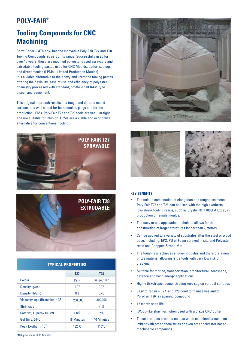# **POLY-FAIR®**

# **Tooling Compounds for CNC Machining**

Scott Bader – ATC now has the innovative Poly-Fair T27 and T28 Tooling Compounds as part of its range. Successfully used for over 16 years, these are modified polyester-based sprayable and extrudable tooling pastes used for CNC Moulds, patterns, plugs and direct moulds (LPMs – Limited Production Moulds). It is a viable alternative to the epoxy and urethane tooling pastes offering the flexibility, ease of use and efficiency of polyester chemistry processed with standard, off-the-shelf RAM-type dispensing equipment.

This original approach results in a tough and durable mould surface. It is well suited for both moulds, plugs and for the production LPMs. Poly-Fair T27 and T28 tools are vacuum-tight and are suitable for infusion. LPMs are a viable and economical alternative for conventional tooling.





| <b>TYPICAL PROPERTIES</b>                 |                    |                    |  |
|-------------------------------------------|--------------------|--------------------|--|
|                                           | T27                | <b>T28</b>         |  |
| Colour                                    | Pink               | Beige / Tan        |  |
| Density (g/cc)                            | 1.07               | 0.78               |  |
| Density (lb/gln)                          | 8.9                | 6.45               |  |
| <b>Viscosity, cps (Brookfied HAS)</b>     | 206,000            | 300,000            |  |
| <b>Shrinkage</b>                          |                    | $< 1\%$            |  |
| <b>Catalyst, Luperox DDM9</b>             | 1.8%               | 2%                 |  |
| Gel Time, 24 <sup>o</sup> C               | <b>18 Minutes</b>  | 40 Minutes         |  |
| Peak Exotherm <sup>o</sup> C <sup>*</sup> | 132 <sup>o</sup> C | 110 <sup>o</sup> C |  |







#### **KEY BENEFITS**

- The unique combination of elongation and toughness means Poly-Fair T27 and T28 can be used with the high exotherm low-shrink tooling resins, such as Crystic RTR 4000PA Excel, in production of female moulds.
- The easy to use application technique allows for the construction of larger structures longer than 7 metres
- Can be applied to a variety of substrates after the steel or wood base, including; EPS, PU or Foam sprayed in situ and Polyester resin and Chopped Strand Mat.
- The toughness achieves a lower modulus and therefore a non brittle material allowing large tools with very low risk of cracking
- Suitable for marine, transportation, architectural, aerospace, defence and wind energy applications
- Highly thixotropic, demonstrating zero sag on vertical surfaces
- Easy to repair T27 and T28 bond to themselves and to Poly-Fair F26, a repairing compound
- 12 month shelf life
- 'Wood-like shavings' when used with a 5 axis CNC cutter
- These products produce no dust when machined, a common irritant with other chemistries or even other polyester based machinable compounds

\*100 gram mass at 75 Minutes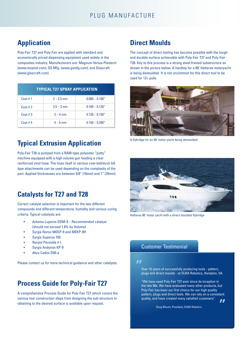# **Application**

Poly-Fair T27 and Poly-Fair are applied with standard and economically priced dispensing equipment used widely in the composites industry. Manufacturers are: Magnum-Venus-Plastech (www.mvpind.com); GS Mfg. (www.gsmfg.com); and Glascraft (www.glascraft.com).

| <b>TYPICAL T27 SPRAY APPLICATION</b> |              |                   |  |
|--------------------------------------|--------------|-------------------|--|
| Coat $# 1$                           | $2 - 2.5$ mm | $0.080 - 0.100''$ |  |
| Coat $# 2$                           | $2.5 - 3$ mm | $0.100 - 0.120"$  |  |
| Coat $#3$                            | $3 - 4$ mm   | $0.120 - 0.150''$ |  |
| Coat #4                              | $4 - 5$ mm   | $0.150 - 0.200''$ |  |

# **Typical Extrusion Application**

Poly-Fair T28 is pumped from a RAM-type polyester "putty" machine equipped with a high volume gun feeding a clear reinforced vinyl hose. The hose itself or various cow-bell/duck bill type attachments can be used depending on the complexity of the part. Applied thicknesses are between 5/8" (16mm) and 1" (25mm).

# **Catalysts for T27 and T28**

Correct catalyst selection is important for the two different compounds and different temperature, humidity and various curing criteria. Typical catalysts are:

- Arkema Luperox DDM-9 Recommended catalyst (should not exceed 1.8% by Volume)
- Syrgis Norox MEKP-9 and MEKP-9H
- Syrgis Superox 702
- Norpol Peroxide # 1
- Syrgis Andonox KP-9
- Akzo Cadox D50-a

Please contact us for more technical guidance and other catalysts.

# **Process Guide for Poly-Fair T27**

A comprehensive Process Guide for Poly-Fair T27 which covers the various tool construction steps from designing the sub-structure to obtaining to the desired surface is available upon request.

# **Direct Moulds**

The concept of direct tooling has become possible with the tough and durable surface achievable with Poly-Fair T27 and Poly-Fair T28. Key to this process is a strong steel-framed substructure as shown in the picture below. A hardtop for a 80' Hattaras motoryacht is being demoulded. It is not uncommon for this direct tool to be used for 12+ pulls.



A flybridge for an 80' motor yacht being demoulded



Hatteras 80' motor yacht with a direct moulded flybridge

# Customer Testimonial

#### $\mathbf{r}$

Over 15 years of successfully producing tools - pattern, plugs and direct moulds - at DLBA Robotics, Hampton, VA.

"We have used Poly-Fair T27 ever since its inception in the late 90s. We have evaluated many other products, but Poly-Fair has been our first choice for our high quality pattern, plugs and direct tools. We can rely on a consistent quality, and have created many satisfied customers".  $\mathbf{r}$ 

Doug Blount, President, DLBA Robotics.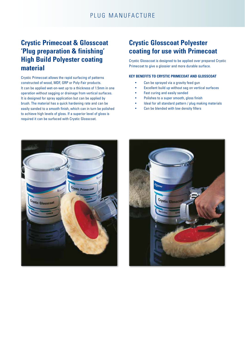# **Crystic Primecoat & Glosscoat 'Plug preparation & finishing' High Build Polyester coating material**

Crystic Primecoat allows the rapid surfacing of patterns constructed of wood, MDF, GRP or Poly-Fair products. It can be applied wet-on-wet up to a thickness of 1.5mm in one operation without sagging or drainage from vertical surfaces. It is designed for spray application but can be applied by brush. The material has a quick hardening rate and can be easily sanded to a smooth finish, which can in turn be polished to achieve high levels of gloss. If a superior level of gloss is required it can be surfaced with Crystic Glosscoat.

# **Crystic Glosscoat Polyester coating for use with Primecoat**

Crystic Glosscoat is designed to be applied over prepared Crystic Primecoat to give a glossier and more durable surface.

#### **KEY BENEFITS TO CRYSTIC PRIMECOAT AND GLOSSCOAT**

- Can be sprayed via a gravity feed gun
- Excellent build up without sag on vertical surfaces
- Fast curing and easily sanded
- Polishes to a super smooth, gloss finish
- Ideal for all standard pattern / plug making materials
- Can be blended with low density fillers



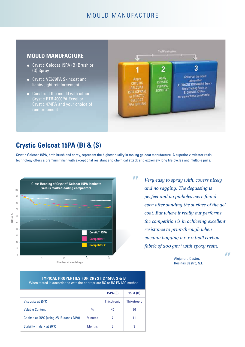# MOULD MANUFACTURE

# **MOULD MANUFACTURE**

- **.** Crystic Gelcoat 15PA (B) Brush or (S) Spray
- **.** Crystic VE679PA Skincoat and lightweight reinforcement
- **Construct the mould with either** Crystic RTR 4000PA Excel or Crystic 474PA and your choice of



# **Crystic Gelcoat 15PA (B) & (S)**

Crystic Gelcoat 15PA, both brush and spray, represent the highest quality in tooling gelcoat manufacture. A superior vinylester resin technology offers a premium finish with exceptional resistance to chemical attack and extremely long life cycles and multiple pulls.

 $\boldsymbol{\mathcal{L}}$ 



*Very easy to spray with, covers nicely and no sagging. The degassing is perfect and no pinholes were found even after sanding the surface of the gel coat. But where it really out performs the competition is in achieving excellent resistance to print-through when vacuum bagging a 2 x 2 twill carbon fabric of 200 gm-2 with epoxy resin.* 

> Alejandro Castro, Resinas Castro, S.L.

**TYPICAL PROPERTIES FOR CRYSTIC 15PA S & B** When tested in accordance with the appropriate BS or BS EN ISO method

|                                        |                | <b>15PA (S)</b>    | <b>15PA (B)</b>    |
|----------------------------------------|----------------|--------------------|--------------------|
| Viscosity at 25°C                      |                | <b>Thixotropic</b> | <b>Thixotropic</b> |
| <b>Volatile Content</b>                | $\%$           | 40                 | 30                 |
| Geltime at 25°C (using 2% Butanox M50) | <b>Minutes</b> |                    | 11                 |
| Stability in dark at 20°C              | <b>Months</b>  | 3                  | 3                  |

 $\overline{H}$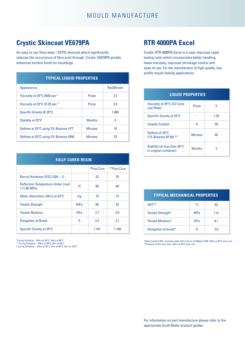# **Crystic Skincoat VE679PA**

An easy to use Vinyl ester / DCPD skincoat which significantly reduces the occurrence of fibre print through. Crystic VE679PA greatly enhances surface finish on mouldings.

| <b>TYPICAL LIQUID PROPERTIES</b>          |                |           |  |
|-------------------------------------------|----------------|-----------|--|
| Appearance                                |                | Red/Brown |  |
| Viscosity at 25°C 4500 sec <sup>-1</sup>  | Poise          | 2.3       |  |
| Viscosity at 25°C 37.35 sec <sup>-1</sup> | Poise          | 3.5       |  |
| Specific Gravity @ 25°C                   |                | 1.065     |  |
| Stability at 25°C                         | <b>Months</b>  | 3         |  |
| Geltime at 25°C using 2% Butanox LPT      | <b>Minutes</b> | 18        |  |
| Geltime at 25°C using 2% Butanox M50      | <b>Minutes</b> | 23        |  |

| <b>FULLY CURED RESIN</b>                                |            |            |             |
|---------------------------------------------------------|------------|------------|-------------|
|                                                         |            | *Post Cure | **Post Cure |
| Barcol Hardness (GYZJ 934 - 1)                          |            | 23         | 25          |
| <b>Deflection Temperature Under Load</b><br>†(1.80 MPa) | °C.        | 60         | 94          |
| Water Absorbtion 24hrs at 23°C                          | mg         | 10         | 15          |
| <b>Tensile Strength</b>                                 | <b>MPa</b> | 60         | 52          |
| <b>Tensile Modulus</b>                                  | GPa        | 2.7        | 3.0         |
| <b>Elongation at Break</b>                              | $\%$       | 4.3        | 2.1         |
| Specific Gravity at 25°C                                |            | 1.161      | 1.158       |

\*Curing Schedule – 24hrs at 20°C, 16hrs at 40°C \*\* Curing Schedule – 24hrs at 20°C, 3hrs at 80°C † Curing Schedule – 24hrs at 20°C, 5hrs at 80°C, 3hrs at 120°C

# **RTR 4000PA Excel**

Crystic RTR 4000PA Excel is a new, improved rapid tooling resin which incorporates better handling, lower viscosity, improved shrinkage control and ease of use. For the manufacture of high quality, low profile mould making applications.

| <b>LIQUID PROPERTIES</b>                               |                |      |  |
|--------------------------------------------------------|----------------|------|--|
| Viscosity at 25°C (ICI Cone<br>and Plate)              | Poise          | 5    |  |
| Specific Gravity at 25°C                               |                | 1.35 |  |
| <b>Volatile Content</b>                                | $\frac{0}{n}$  | 29   |  |
| Geltime at 25°C<br>$(1\%$ Butanox M-50) **             | <b>Minutes</b> | 40   |  |
| Stability (at less than 20°C<br>in original container) | <b>Months</b>  | 3    |  |

| <b>TYPICAL MECHANICAL PROPERTIES</b> |               |     |  |
|--------------------------------------|---------------|-----|--|
| $HDT***$                             | ۰c            | 63  |  |
| Tensile Strength*                    | <b>MPa</b>    | 114 |  |
| Tensile Modulus*                     | GPa           | 8.1 |  |
| Elongation at break*                 | $\frac{0}{0}$ | ን በ |  |

\*Glass Content 28%, laminate made with 3 layers of 450gsm CSM; 16hrs at 40°C post cure \*\*Property of the cast resin, 16hrs at 40°C post cure